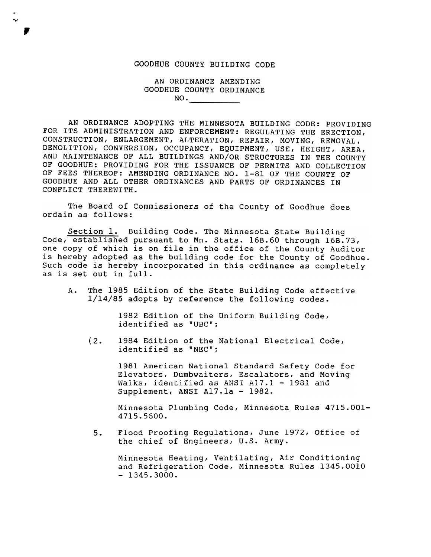## GOODHUE COUNTY BUILDING CODE

. ..-

.,

AN ORDINANCE AMENDING GOODHUE COUNTY ORDINANCE  $\overline{\mathsf{NO}}$ .

AN ORDINANCE ADOPTING THE MINNESOTA BUILDING CODE: PROVIDING FOR ITS ADMINISTRATION AND ENFORCEMENT: REGULATING THE ERECTION, CONSTRUCTION, ENLARGEMENT, ALTERATION, REPAIR, MOVING, REMOVAL, DEMOLITION, CONVERSION, OCCUPANCY, EQUIPMENT, USE, HEIGHT, AREA, AND MAINTENANCE OF ALL BUILDINGS AND/OR STRUCTURES IN THE COUNTY OF GOODHUE: PROVIDING FOR THE ISSUANCE OF PERMITS AND COLLECTION OF FEES THEREOF: AMENDING ORDINANCE NO. 1-81 OF THE COUNTY OF GOCIDHUE AND ALL OTHER ORDINANCES AND PARTS OF ORDINANCES IN CONFLICT THEREWITH.

The Board of Commissioners of the County of Goodhue does ordain as follows:

Section 1. Building Code. The Minnesota State Building Code, established pursuant to Mn. Stats. 16B.60 through 16B.73, one copy of which is on file in the office of the County Auditor is hereby adopted as the building code for the County of Goodhue. Such code is hereby incorporated in this ordinance as completely as is set out in full.

A. The 1985 Edition of the State Building Code effective 1/14/85 adopts by reference the following codes.

> 1982 Edition of the Uniform Building Code, identified as "UBC":

(2. 1984 Edition of the National Electrical Code, identified as "NEC":

> 1981 American National Standard Safety Code for Elevators, Dumbwaiters, Escalators, and Moving Walks, identified as ANSI A17.1 - 1981 and Supplement, ANSI A17.1a - 1982.

Minnesota Plumbing Code, Minnesota Rules 4715.001-4715.5600.

 $5.$ Flood Proofing Regulations, June 1972, Office of the chief of Engineers, U.S. Army.

Minnesota Heating, Ventilating, Air Condition<br>and Refrigeration Code, Minnesota Rules 1345<br>- 1345.3000. and Refrigeration Code, Minnesota Rules 1345.0010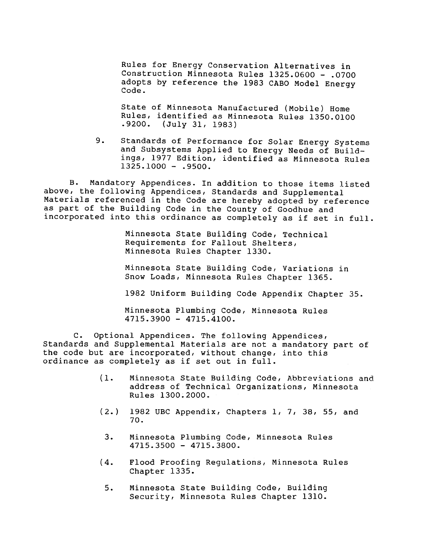Rules for Energy Conservation Alternatives in Construction Minnesota Rules 1325.0600 - .0700 adopts by reference the 1983 CABO Model Energy<br>Code.

State of Minnesota Manufactured (Mobile) Home identified as Minnesota Rules 1350.0100 .9200. (July 31, 1983)

 $9.$ Standards of Performance for Solar Energy Systems and Subsystems Applied to Energy Needs of Buildings, 1977 Edition, identified as Minnesota Rules  $1325.1000 - .9500.$ 

B. Mandatory Appendices. In addition to those items listed above, the following Appendices, Standards and Supplemental Materials referenced in the Code are hereby adopted by reference as part of the Building Code in the County of Goodhue and incorporated into this ordinance as completely as if set in full.

> Minnesota State Building Code, Technical Requirements for Fallout Shelters, Minnesota Rules Chapter 1330.

Minnesota State Building Code, Variations in Snow Loads, Minnesota Rules Chapter 1365.

1982 Uniform Building Code Appendix Chapter 35.

Minnesota Plumbing Code, Minnesota Rules 4715.3900 -4715.4100.

C. Optional Appendices. The following Appendices, Standards and Supplemental Materials are not a mandatory part of the code but are incorporated, without change, into this ordinance as completely as if set out in full.

- (1. Minnesota State Building Code, Abbreviations and address of Technical Organizations, Minnesota Rules 1300.2000.
- $(2.)$  1982 UBC Appendix, Chapters 1, 7, 38, 55, and  $70.$
- 4715.3500 -4715.3800.
- 3. Minnesota Plumbing Code, Minnesota Rule<br>4715.3500 4715.3800.<br>(4. Flood Proofing Regulations, Minnesota R<br>Chapter 1335.<br>5. Minnesota State Building Code, Building<br>Security, Minnesota Rules Chapter 1310. (4. Flood Proofing Regulations, Minnesota Rules Chapter 1335.
- 5. Minnesota State Building Code, Build:<br>Security, Minnesota Rules Chapter 13.<br>Discursion of the State State of States Chapter 13. Security, Minnesota Rules Chapter 1310.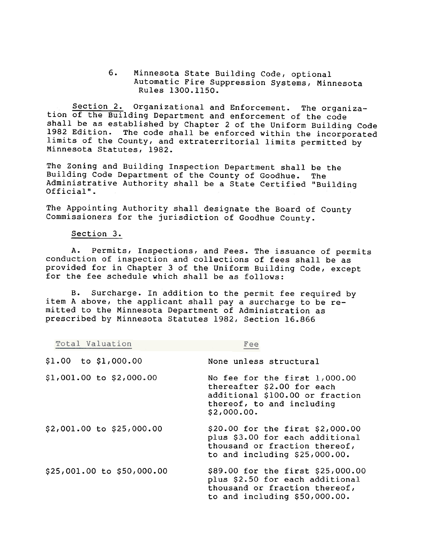6. Minnesota State Building Code, optional Automatic Fire Suppression Systems, Minnesota Rules 1300.1150.

Section 2. Organizational and Enforcement. The organization of the Building Department and enforcement of the code shall be as established by Chapter 2 of the Uniform Building Code 1982 Edition. The code shall be enforced within the incorporated limits of the County, and extraterritorial limits permitted by Minnesota Statutes, 1982.

The Zoning and Building Inspection Department shall be the Building Code Department of the County o£ Goodhue. The Administrative Authority shall be a State Certified "Building Official".

The Appointing Authority shall designate the Board of County Commissioners for the jurisdiction of Goodhue County.

## Section 3.

A. Permits, Inspections, and Fees. The issuance of permits conduction of inspection and collections of fees shall be as provided for in Chapter 3 of the Uniform Building Code, except for the fee schedule which shall be as follows:

B. Surcharge. In addition to the permit fee required by item A above, the applicant shall pay a surcharge to be remitted to the Minnesota Department of Administration as prescribed by Minnesota Statutes 1982, Section 16.866

| Total Valuation            | Fee                                                                                                                                        |
|----------------------------|--------------------------------------------------------------------------------------------------------------------------------------------|
| $$1.00$ to $$1,000.00$     | None unless structural                                                                                                                     |
| $$1,001.00$ to $$2,000.00$ | No fee for the first 1,000.00<br>thereafter \$2.00 for each<br>additional \$100.00 or fraction<br>thereof, to and including<br>\$2,000.00. |
| \$2,001.00 to \$25,000.00  | \$20.00 for the first \$2,000.00<br>plus \$3.00 for each additional<br>thousand or fraction thereof,<br>to and including \$25,000.00.      |
| \$25,001.00 to \$50,000.00 | \$89.00 for the first \$25,000.00<br>plus \$2.50 for each additional<br>thousand or fraction thereof,<br>to and including \$50,000.00.     |